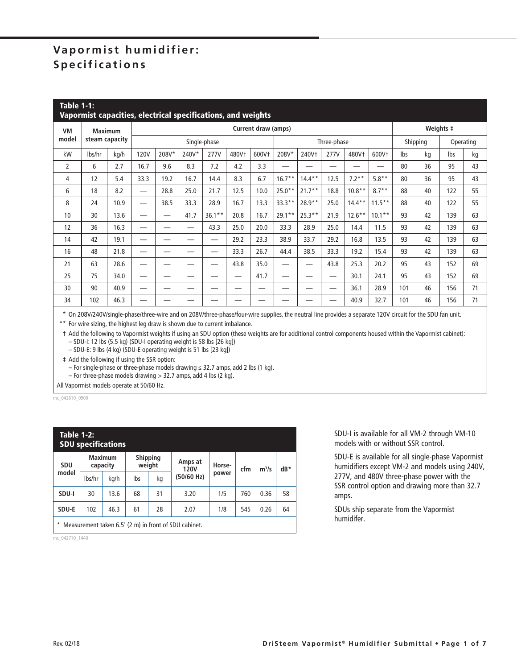## **Vapormist humidifier: Specifications**

|                | <b>Table 1-1:</b><br>Vapormist capacities, electrical specifications, and weights |      |                     |       |       |          |       |       |             |                          |      |           |           |           |           |     |    |
|----------------|-----------------------------------------------------------------------------------|------|---------------------|-------|-------|----------|-------|-------|-------------|--------------------------|------|-----------|-----------|-----------|-----------|-----|----|
| <b>VM</b>      | <b>Maximum</b><br>steam capacity                                                  |      | Current draw (amps) |       |       |          |       |       |             |                          |      |           |           | Weights ‡ |           |     |    |
| model          |                                                                                   |      | Single-phase        |       |       |          |       |       | Three-phase |                          |      |           | Shipping  |           | Operating |     |    |
| kW             | lbs/hr                                                                            | kg/h | <b>120V</b>         | 208V* | 240V* | 277V     | 480Vt | 600Vt | 208V*       | 240Vt                    | 277V | 480Vt     | 600Vt     | Ibs       | kg        | lbs | kg |
| $\overline{2}$ | 6                                                                                 | 2.7  | 16.7                | 9.6   | 8.3   | 7.2      | 4.2   | 3.3   | --          |                          | _    | _         |           | 80        | 36        | 95  | 43 |
| 4              | 12                                                                                | 5.4  | 33.3                | 19.2  | 16.7  | 14.4     | 8.3   | 6.7   | $16.7***$   | $14.4***$                | 12.5 | $7.2**$   | $5.8**$   | 80        | 36        | 95  | 43 |
| 6              | 18                                                                                | 8.2  |                     | 28.8  | 25.0  | 21.7     | 12.5  | 10.0  | $25.0***$   | $21.7**$                 | 18.8 | $10.8**$  | $8.7**$   | 88        | 40        | 122 | 55 |
| 8              | 24                                                                                | 10.9 | —                   | 38.5  | 33.3  | 28.9     | 16.7  | 13.3  | $33.3**$    | $28.9**$                 | 25.0 | $14.4***$ | $11.5***$ | 88        | 40        | 122 | 55 |
| 10             | 30                                                                                | 13.6 |                     | –     | 41.7  | $36.1**$ | 20.8  | 16.7  | $29.1**$    | $25.3**$                 | 21.9 | $12.6***$ | $10.1***$ | 93        | 42        | 139 | 63 |
| 12             | 36                                                                                | 16.3 | --                  |       |       | 43.3     | 25.0  | 20.0  | 33.3        | 28.9                     | 25.0 | 14.4      | 11.5      | 93        | 42        | 139 | 63 |
| 14             | 42                                                                                | 19.1 |                     |       | _     |          | 29.2  | 23.3  | 38.9        | 33.7                     | 29.2 | 16.8      | 13.5      | 93        | 42        | 139 | 63 |
| 16             | 48                                                                                | 21.8 | —                   |       |       |          | 33.3  | 26.7  | 44.4        | 38.5                     | 33.3 | 19.2      | 15.4      | 93        | 42        | 139 | 63 |
| 21             | 63                                                                                | 28.6 | —                   | –     | —     | —        | 43.8  | 35.0  | —           | $\overline{\phantom{0}}$ | 43.8 | 25.3      | 20.2      | 95        | 43        | 152 | 69 |
| 25             | 75                                                                                | 34.0 | --                  |       |       | —        | —     | 41.7  | —           |                          | —    | 30.1      | 24.1      | 95        | 43        | 152 | 69 |
| 30             | 90                                                                                | 40.9 |                     |       |       |          |       |       |             |                          | –    | 36.1      | 28.9      | 101       | 46        | 156 | 71 |
| 34             | 102                                                                               | 46.3 |                     |       |       |          |       |       |             |                          | _    | 40.9      | 32.7      | 101       | 46        | 156 | 71 |

\* On 208V/240V/single-phase/three-wire and on 208V/three-phase/four-wire supplies, the neutral line provides a separate 120V circuit for the SDU fan unit.

\*\* For wire sizing, the highest leg draw is shown due to current imbalance.

 † Add the following to Vapormist weights if using an SDU option (these weights are for additional control components housed within the Vapormist cabinet): – SDU-I: 12 lbs (5.5 kg) (SDU-I operating weight is 58 lbs [26 kg])

– SDU-E: 9 lbs (4 kg) (SDU-E operating weight is 51 lbs [23 kg])

‡ Add the following if using the SSR option:

– For single-phase or three-phase models drawing ≤ 32.7 amps, add 2 lbs (1 kg).

– For three-phase models drawing > 32.7 amps, add 4 lbs (2 kg).

All Vapormist models operate at 50/60 Hz.

mc\_042610\_0900

|            | <b>Table 1-2:</b><br><b>SDU specifications</b>        |                            |     |                           |                        |        |     |         |       |  |  |  |  |  |
|------------|-------------------------------------------------------|----------------------------|-----|---------------------------|------------------------|--------|-----|---------|-------|--|--|--|--|--|
| <b>SDU</b> |                                                       | <b>Maximum</b><br>capacity |     | <b>Shipping</b><br>weight | Amps at<br><b>120V</b> | Horse- | cfm | $m^3/s$ | $dB*$ |  |  |  |  |  |
| model      | lbs/hr                                                | kg/h                       | lbs | kg                        | (50/60 Hz)             | power  |     |         |       |  |  |  |  |  |
| SDU-I      | 30                                                    | 13.6                       | 68  | 31                        | 3.20                   | 1/5    | 760 | 0.36    | 58    |  |  |  |  |  |
| SDU-E      | 102                                                   | 46.3                       | 61  | 28                        | 2.07                   | 1/8    | 545 | 0.26    | 64    |  |  |  |  |  |
|            | Measurement taken 6.5' (2 m) in front of SDU cabinet. |                            |     |                           |                        |        |     |         |       |  |  |  |  |  |

mc\_042710\_1440

SDU-I is available for all VM-2 through VM-10 models with or without SSR control.

SDU-E is available for all single-phase Vapormist humidifiers except VM-2 and models using 240V, 277V, and 480V three-phase power with the SSR control option and drawing more than 32.7 amps.

SDUs ship separate from the Vapormist humidifer.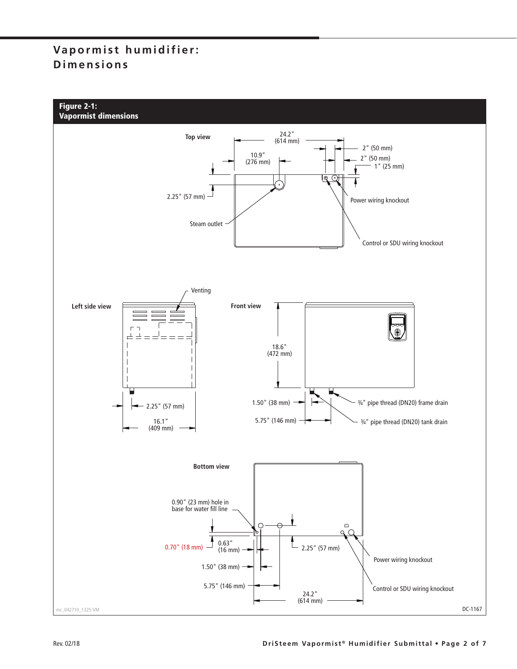## **Vapormist humidifier: Dimensions**

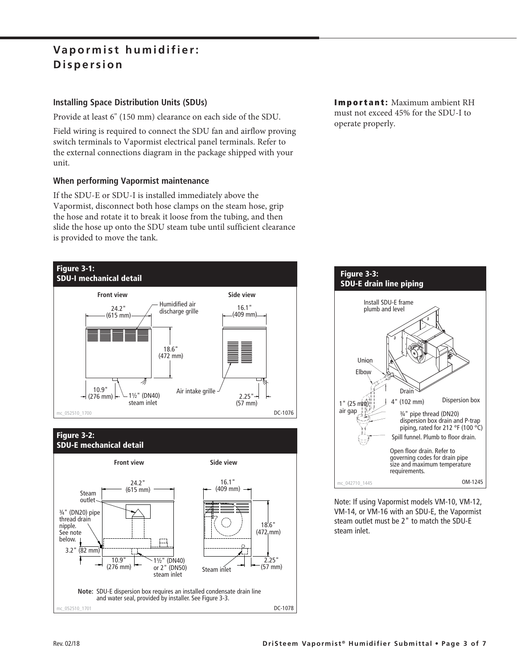## **Vapormist humidifier: Dispersion**

### **Installing Space Distribution Units (SDUs)**

Provide at least 6" (150 mm) clearance on each side of the SDU.

Field wiring is required to connect the SDU fan and airflow proving switch terminals to Vapormist electrical panel terminals. Refer to the external connections diagram in the package shipped with your unit.

#### **When performing Vapormist maintenance**

If the SDU-E or SDU-I is installed immediately above the Vapormist, disconnect both hose clamps on the steam hose, grip the hose and rotate it to break it loose from the tubing, and then slide the hose up onto the SDU steam tube until sufficient clearance is provided to move the tank.





**Important:** Maximum ambient RH must not exceed 45% for the SDU-I to operate properly.



Note: If using Vapormist models VM-10, VM-12, VM-14, or VM-16 with an SDU-E, the Vapormist steam outlet must be 2" to match the SDU-E steam inlet.

 $-052510 - 1701$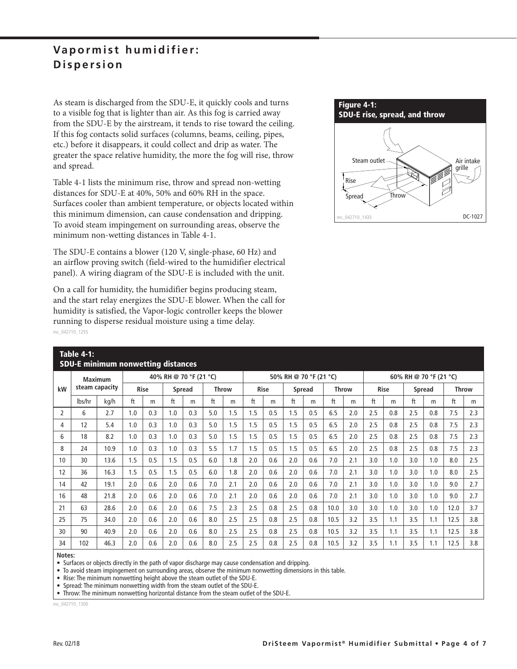### **Vapormist humidifier: Dispersion**

As steam is discharged from the SDU-E, it quickly cools and turns to a visible fog that is lighter than air. As this fog is carried away from the SDU-E by the airstream, it tends to rise toward the ceiling. If this fog contacts solid surfaces (columns, beams, ceiling, pipes, etc.) before it disappears, it could collect and drip as water. The greater the space relative humidity, the more the fog will rise, throw and spread.

Table 4-1 lists the minimum rise, throw and spread non-wetting distances for SDU-E at 40%, 50% and 60% RH in the space. Surfaces cooler than ambient temperature, or objects located within this minimum dimension, can cause condensation and dripping. To avoid steam impingement on surrounding areas, observe the minimum non-wetting distances in Table 4-1.

The SDU-E contains a blower (120 V, single-phase, 60 Hz) and an airflow proving switch (field-wired to the humidifier electrical panel). A wiring diagram of the SDU-E is included with the unit.

On a call for humidity, the humidifier begins producing steam, and the start relay energizes the SDU-E blower. When the call for humidity is satisfied, the Vapor-logic controller keeps the blower running to disperse residual moisture using a time delay. mc\_042710\_1255



|                | 1991 <del>-</del> 1991 -<br><b>SDU-E minimum nonwetting distances</b> |      |                        |     |               |     |              |     |                        |             |     |        |      |                        |     |             |               |     |              |     |
|----------------|-----------------------------------------------------------------------|------|------------------------|-----|---------------|-----|--------------|-----|------------------------|-------------|-----|--------|------|------------------------|-----|-------------|---------------|-----|--------------|-----|
|                | <b>Maximum</b><br>steam capacity                                      |      | 40% RH @ 70 °F (21 °C) |     |               |     |              |     | 50% RH @ 70 °F (21 °C) |             |     |        |      | 60% RH @ 70 °F (21 °C) |     |             |               |     |              |     |
| kW             |                                                                       |      | <b>Rise</b>            |     | <b>Spread</b> |     | <b>Throw</b> |     |                        | <b>Rise</b> |     | Spread |      | <b>Throw</b>           |     | <b>Rise</b> | <b>Spread</b> |     | <b>Throw</b> |     |
|                | lbs/hr                                                                | kg/h | ft                     | m   | ft            | m   | ft           | m   | ft                     | m           | ft  | m      | ft   | m                      | ft  | m           | ft            | m   | ft           | m   |
| $\overline{2}$ | 6                                                                     | 2.7  | 1.0                    | 0.3 | 1.0           | 0.3 | 5.0          | 1.5 | 1.5                    | 0.5         | 1.5 | 0.5    | 6.5  | 2.0                    | 2.5 | 0.8         | 2.5           | 0.8 | 7.5          | 2.3 |
| 4              | 12                                                                    | 5.4  | 1.0                    | 0.3 | 1.0           | 0.3 | 5.0          | 1.5 | 1.5                    | 0.5         | 1.5 | 0.5    | 6.5  | 2.0                    | 2.5 | 0.8         | 2.5           | 0.8 | 7.5          | 2.3 |
| 6              | 18                                                                    | 8.2  | 1.0                    | 0.3 | 1.0           | 0.3 | 5.0          | 1.5 | 1.5                    | 0.5         | 1.5 | 0.5    | 6.5  | 2.0                    | 2.5 | 0.8         | 2.5           | 0.8 | 7.5          | 2.3 |
| 8              | 24                                                                    | 10.9 | 1.0                    | 0.3 | 1.0           | 0.3 | 5.5          | 1.7 | 1.5                    | 0.5         | 1.5 | 0.5    | 6.5  | 2.0                    | 2.5 | 0.8         | 2.5           | 0.8 | 7.5          | 2.3 |
| 10             | 30                                                                    | 13.6 | 1.5                    | 0.5 | 1.5           | 0.5 | 6.0          | 1.8 | 2.0                    | 0.6         | 2.0 | 0.6    | 7.0  | 2.1                    | 3.0 | 1.0         | 3.0           | 1.0 | 8.0          | 2.5 |
| 12             | 36                                                                    | 16.3 | 1.5                    | 0.5 | 1.5           | 0.5 | 6.0          | 1.8 | 2.0                    | 0.6         | 2.0 | 0.6    | 7.0  | 2.1                    | 3.0 | 1.0         | 3.0           | 1.0 | 8.0          | 2.5 |
| 14             | 42                                                                    | 19.1 | 2.0                    | 0.6 | 2.0           | 0.6 | 7.0          | 2.1 | 2.0                    | 0.6         | 2.0 | 0.6    | 7.0  | 2.1                    | 3.0 | 1.0         | 3.0           | 1.0 | 9.0          | 2.7 |
| 16             | 48                                                                    | 21.8 | 2.0                    | 0.6 | 2.0           | 0.6 | 7.0          | 2.1 | 2.0                    | 0.6         | 2.0 | 0.6    | 7.0  | 2.1                    | 3.0 | 1.0         | 3.0           | 1.0 | 9.0          | 2.7 |
| 21             | 63                                                                    | 28.6 | 2.0                    | 0.6 | 2.0           | 0.6 | 7.5          | 2.3 | 2.5                    | 0.8         | 2.5 | 0.8    | 10.0 | 3.0                    | 3.0 | 1.0         | 3.0           | 1.0 | 12.0         | 3.7 |
| 25             | 75                                                                    | 34.0 | 2.0                    | 0.6 | 2.0           | 0.6 | 8.0          | 2.5 | 2.5                    | 0.8         | 2.5 | 0.8    | 10.5 | 3.2                    | 3.5 | 1.1         | 3.5           | 1.1 | 12.5         | 3.8 |
| 30             | 90                                                                    | 40.9 | 2.0                    | 0.6 | 2.0           | 0.6 | 8.0          | 2.5 | 2.5                    | 0.8         | 2.5 | 0.8    | 10.5 | 3.2                    | 3.5 | 1.1         | 3.5           | 1.1 | 12.5         | 3.8 |
| 34             | 102                                                                   | 46.3 | 2.0                    | 0.6 | 2.0           | 0.6 | 8.0          | 2.5 | 2.5                    | 0.8         | 2.5 | 0.8    | 10.5 | 3.2                    | 3.5 | 1.1         | 3.5           | 1.1 | 12.5         | 3.8 |
|                |                                                                       |      |                        |     |               |     |              |     |                        |             |     |        |      |                        |     |             |               |     |              |     |

**Notes:**

**Table 4-1:**

• Surfaces or objects directly in the path of vapor discharge may cause condensation and dripping.

• To avoid steam impingement on surrounding areas, observe the minimum nonwetting dimensions in this table.

• Rise: The minimum nonwetting height above the steam outlet of the SDU-E.

• Spread: The minimum nonwetting width from the steam outlet of the SDU-E.

• Throw: The minimum nonwetting horizontal distance from the steam outlet of the SDU-E.

mc\_042710\_1300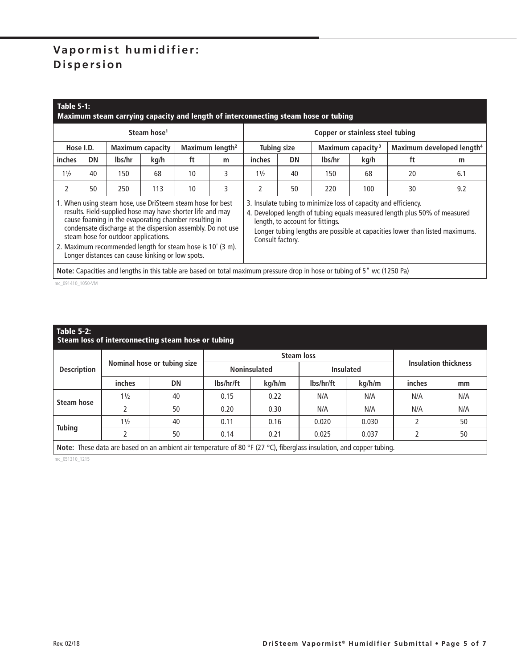# **Vapormist humidifier: Dispersion**

|                                                                     | <b>Table 5-1:</b><br>Maximum steam carrying capacity and length of interconnecting steam hose or tubing |                                      |                                                                                                                                                                                                                                                                                                                                                                    |    |   |                                                                                                                                                                                                                                                                                      |             |                                                                                                                          |                               |                                       |     |  |  |  |  |
|---------------------------------------------------------------------|---------------------------------------------------------------------------------------------------------|--------------------------------------|--------------------------------------------------------------------------------------------------------------------------------------------------------------------------------------------------------------------------------------------------------------------------------------------------------------------------------------------------------------------|----|---|--------------------------------------------------------------------------------------------------------------------------------------------------------------------------------------------------------------------------------------------------------------------------------------|-------------|--------------------------------------------------------------------------------------------------------------------------|-------------------------------|---------------------------------------|-----|--|--|--|--|
|                                                                     |                                                                                                         |                                      | Steam hose <sup>1</sup>                                                                                                                                                                                                                                                                                                                                            |    |   | Copper or stainless steel tubing                                                                                                                                                                                                                                                     |             |                                                                                                                          |                               |                                       |     |  |  |  |  |
| Maximum length <sup>2</sup><br>Hose I.D.<br><b>Maximum capacity</b> |                                                                                                         |                                      |                                                                                                                                                                                                                                                                                                                                                                    |    |   |                                                                                                                                                                                                                                                                                      | Tubing size |                                                                                                                          | Maximum capacity <sup>3</sup> | Maximum developed length <sup>4</sup> |     |  |  |  |  |
| inches                                                              | <b>DN</b>                                                                                               | lbs/hr                               | kg/h                                                                                                                                                                                                                                                                                                                                                               | ft | m | inches                                                                                                                                                                                                                                                                               | m           |                                                                                                                          |                               |                                       |     |  |  |  |  |
| $1\frac{1}{2}$                                                      | 40                                                                                                      | 150                                  | 68                                                                                                                                                                                                                                                                                                                                                                 | 10 | 3 | $1\frac{1}{2}$                                                                                                                                                                                                                                                                       | 40          | 150                                                                                                                      | 68                            | 20                                    | 6.1 |  |  |  |  |
| 2                                                                   | 50                                                                                                      | 250                                  | 113                                                                                                                                                                                                                                                                                                                                                                | 10 | 3 | 2                                                                                                                                                                                                                                                                                    | 50          | 220                                                                                                                      | 100                           | 30                                    | 9.2 |  |  |  |  |
|                                                                     |                                                                                                         | steam hose for outdoor applications. | 1. When using steam hose, use DriSteem steam hose for best<br>results. Field-supplied hose may have shorter life and may<br>cause foaming in the evaporating chamber resulting in<br>condensate discharge at the dispersion assembly. Do not use<br>2. Maximum recommended length for steam hose is 10' (3 m).<br>Longer distances can cause kinking or low spots. |    |   | 3. Insulate tubing to minimize loss of capacity and efficiency.<br>4. Developed length of tubing equals measured length plus 50% of measured<br>length, to account for fittings.<br>Longer tubing lengths are possible at capacities lower than listed maximums.<br>Consult factory. |             |                                                                                                                          |                               |                                       |     |  |  |  |  |
|                                                                     |                                                                                                         |                                      |                                                                                                                                                                                                                                                                                                                                                                    |    |   |                                                                                                                                                                                                                                                                                      |             | Note: Capacities and lengths in this table are based on total maximum pressure drop in hose or tubing of 5" wc (1250 Pa) |                               |                                       |     |  |  |  |  |

mc\_091410\_1050-VM

| Table 5-2:<br>Steam loss of interconnecting steam hose or tubing |                |                                                                                                                      |           |                     |           |                  |                             |     |  |  |  |  |
|------------------------------------------------------------------|----------------|----------------------------------------------------------------------------------------------------------------------|-----------|---------------------|-----------|------------------|-----------------------------|-----|--|--|--|--|
|                                                                  |                |                                                                                                                      |           | <b>Steam loss</b>   |           |                  |                             |     |  |  |  |  |
| <b>Description</b>                                               |                | Nominal hose or tubing size                                                                                          |           | <b>Noninsulated</b> |           | <b>Insulated</b> | <b>Insulation thickness</b> |     |  |  |  |  |
|                                                                  | inches         | DN                                                                                                                   | lbs/hr/ft | kg/h/m              | lbs/hr/ft | kg/h/m           | inches                      | mm  |  |  |  |  |
| <b>Steam hose</b>                                                | $1\frac{1}{2}$ | 40                                                                                                                   | 0.15      | 0.22                | N/A       | N/A              | N/A                         | N/A |  |  |  |  |
|                                                                  |                | 50                                                                                                                   | 0.20      | 0.30                | N/A       | N/A              | N/A                         | N/A |  |  |  |  |
| <b>Tubing</b>                                                    | $1\frac{1}{2}$ | 40                                                                                                                   | 0.11      | 0.16                | 0.020     | 0.030            |                             | 50  |  |  |  |  |
|                                                                  |                | 50                                                                                                                   | 0.14      | 0.21                | 0.025     | 0.037            |                             | 50  |  |  |  |  |
|                                                                  |                | Note: These data are based on an ambient air temperature of 80 °F (27 °C), fiberglass insulation, and copper tubing. |           |                     |           |                  |                             |     |  |  |  |  |

mc\_051310\_1215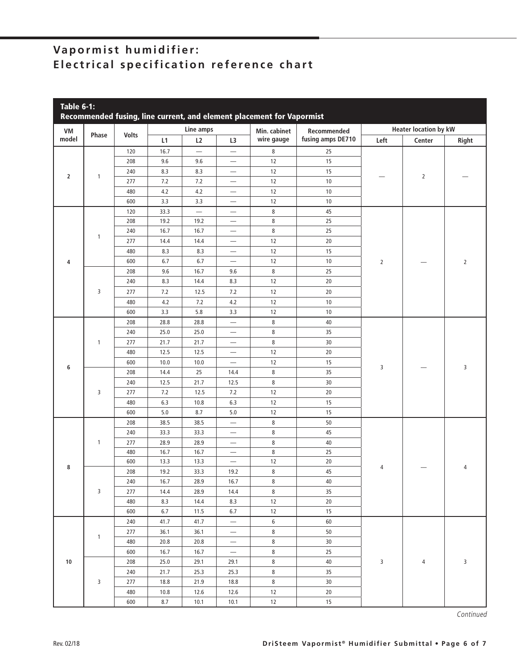## **Vapormist humidifier: Electrical specification reference chart**

| VM             | Phase        |              |      | Line amps                |                          | Min. cabinet | Recommended       | <b>Heater location by kW</b> |                |                |  |
|----------------|--------------|--------------|------|--------------------------|--------------------------|--------------|-------------------|------------------------------|----------------|----------------|--|
| model          |              | <b>Volts</b> | L1   | L2                       | L3                       | wire gauge   | fusing amps DE710 | Left                         | Center         | Right          |  |
|                |              | 120          | 16.7 | $\overline{\phantom{0}}$ | $\overline{\phantom{m}}$ | 8            | 25                |                              |                |                |  |
|                |              | 208          | 9.6  | 9.6                      | $\overline{\phantom{m}}$ | $12\,$       | 15                |                              |                |                |  |
|                |              | 240          | 8.3  | 8.3                      | $\overline{\phantom{m}}$ | $12\,$       | 15                |                              |                |                |  |
| $\overline{2}$ | $\mathbf{1}$ | 277          | 7.2  | 7.2                      | $\overline{\phantom{m}}$ | 12           | 10                |                              | $\overline{2}$ |                |  |
|                |              | 480          | 4.2  | $4.2\,$                  | $\overline{\phantom{m}}$ | 12           | 10                |                              |                |                |  |
|                |              | 600          | 3.3  | 3.3                      | $\overline{\phantom{m}}$ | $12\,$       | 10                |                              |                |                |  |
|                |              | 120          | 33.3 | $\overline{\phantom{0}}$ | $\overline{\phantom{m}}$ | 8            | 45                |                              |                |                |  |
|                |              | 208          | 19.2 | 19.2                     | $\overline{\phantom{m}}$ | 8            | 25                |                              |                |                |  |
|                |              | 240          | 16.7 | 16.7                     | $\overline{\phantom{0}}$ | 8            | 25                |                              |                |                |  |
|                | 1            | 277          | 14.4 | 14.4                     | $\qquad \qquad -$        | $12\,$       | 20                |                              |                |                |  |
|                |              | 480          | 8.3  | 8.3                      | $\qquad \qquad -$        | $12\,$       | 15                |                              |                |                |  |
| 4              |              | 600          | 6.7  | 6.7                      | $\overline{\phantom{0}}$ | $12\,$       | 10                | $\overline{2}$               |                | $\overline{2}$ |  |
|                |              | 208          | 9.6  | 16.7                     | 9.6                      | 8            | 25                |                              |                |                |  |
|                |              | 240          | 8.3  | 14.4                     | 8.3                      | 12           | 20                |                              |                |                |  |
|                | 3            | 277          | 7.2  | 12.5                     | 7.2                      | $12\,$       | 20                |                              |                |                |  |
|                |              | 480          | 4.2  | 7.2                      | $4.2\,$                  | $12\,$       | 10                |                              |                |                |  |
|                |              | 600          | 3.3  | 5.8                      | 3.3                      | $12\,$       | 10                |                              |                |                |  |
|                |              | 208          | 28.8 | 28.8                     | $\overline{\phantom{0}}$ | 8            | 40                |                              |                |                |  |
|                |              | 240          | 25.0 | 25.0                     | $\overline{\phantom{0}}$ | 8            | 35                |                              |                |                |  |
|                | $\mathbf{1}$ | 277          | 21.7 | 21.7                     | $\qquad \qquad -$        | 8            | 30                |                              |                |                |  |
|                |              | 480          | 12.5 | 12.5                     | $\overline{\phantom{0}}$ | 12           | $20\,$            |                              |                |                |  |
|                |              | 600          | 10.0 | 10.0                     |                          | 12           | 15                |                              |                |                |  |
| 6              |              | 208          | 14.4 | 25                       | 14.4                     | 8            | 35                | 3                            |                | 3              |  |
|                | 3            | 240          | 12.5 | 21.7                     | 12.5                     | 8            | 30                |                              |                |                |  |
|                |              | 277          | 7.2  | 12.5                     | 7.2                      | 12           | 20                |                              |                |                |  |
|                |              | 480          | 6.3  | 10.8                     | 6.3                      | 12           | 15                |                              |                |                |  |
|                |              | 600          | 5.0  | 8.7                      | 5.0                      | 12           | 15                |                              |                |                |  |
|                |              | 208          | 38.5 | 38.5                     | $\overline{\phantom{0}}$ | 8            | 50                |                              |                |                |  |
|                |              | 240          | 33.3 | 33.3                     | $\overline{\phantom{0}}$ | 8            | 45                |                              |                |                |  |
|                | 1            | 277          | 28.9 | 28.9                     | $\overline{\phantom{m}}$ | 8            | 40                |                              |                |                |  |
|                |              | 480          | 16.7 | 16.7                     | $\overline{\phantom{m}}$ | 8            | 25                |                              |                |                |  |
|                |              | 600          | 13.3 | 13.3                     | $\overline{\phantom{m}}$ | 12           | 20                |                              |                |                |  |
| 8              |              | 208          | 19.2 | 33.3                     | 19.2                     | 8            | 45                | 4                            |                | 4              |  |
|                |              | 240          | 16.7 | 28.9                     | 16.7                     | 8            | 40                |                              |                |                |  |
|                | 3            | 277          | 14.4 | 28.9                     | 14.4                     | 8            | 35                |                              |                |                |  |
|                |              | 480          | 8.3  | 14.4                     | 8.3                      | 12           | 20                |                              |                |                |  |
|                |              | 600          | 6.7  | 11.5                     | 6.7                      | 12           | 15                |                              |                |                |  |
|                |              | 240          | 41.7 | 41.7                     | $\overline{\phantom{m}}$ | 6            | 60                |                              |                |                |  |
|                |              | 277          | 36.1 | 36.1                     | $\overline{\phantom{m}}$ | 8            | 50                |                              |                |                |  |
|                | $\mathbf{1}$ | 480          | 20.8 | 20.8                     | $\overline{\phantom{m}}$ | 8            | 30                |                              |                |                |  |
|                |              | 600          | 16.7 | 16.7                     | $\overline{\phantom{m}}$ | 8            | 25                |                              |                |                |  |
| 10             |              | 208          | 25.0 | 29.1                     | 29.1                     | 8            | 40                | 3                            | 4              | 3              |  |
|                |              | 240          | 21.7 | 25.3                     | 25.3                     | 8            | 35                |                              |                |                |  |
|                | 3            | 277          | 18.8 | 21.9                     | 18.8                     | 8            | 30                |                              |                |                |  |
|                |              | 480          | 10.8 | 12.6                     | 12.6                     | 12           | 20                |                              |                |                |  |
|                |              | 600          | 8.7  | 10.1                     | 10.1                     | 12           | 15                |                              |                |                |  |

Continued